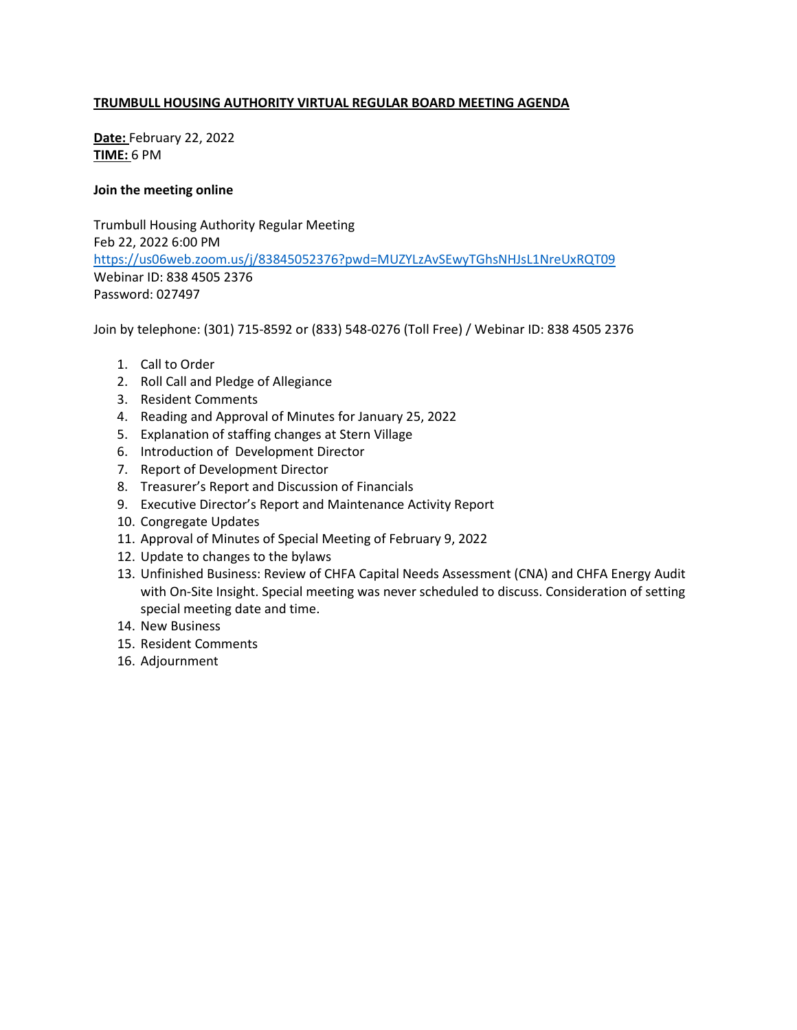## **TRUMBULL HOUSING AUTHORITY VIRTUAL REGULAR BOARD MEETING AGENDA**

**Date:** February 22, 2022 **TIME:** 6 PM

### **Join the meeting online**

Trumbull Housing Authority Regular Meeting Feb 22, 2022 6:00 PM <https://us06web.zoom.us/j/83845052376?pwd=MUZYLzAvSEwyTGhsNHJsL1NreUxRQT09> Webinar ID: 838 4505 2376 Password: 027497

Join by telephone: (301) 715-8592 or (833) 548-0276 (Toll Free) / Webinar ID: 838 4505 2376

- 1. Call to Order
- 2. Roll Call and Pledge of Allegiance
- 3. Resident Comments
- 4. Reading and Approval of Minutes for January 25, 2022
- 5. Explanation of staffing changes at Stern Village
- 6. Introduction of Development Director
- 7. Report of Development Director
- 8. Treasurer's Report and Discussion of Financials
- 9. Executive Director's Report and Maintenance Activity Report
- 10. Congregate Updates
- 11. Approval of Minutes of Special Meeting of February 9, 2022
- 12. Update to changes to the bylaws
- 13. Unfinished Business: Review of CHFA Capital Needs Assessment (CNA) and CHFA Energy Audit with On-Site Insight. Special meeting was never scheduled to discuss. Consideration of setting special meeting date and time.
- 14. New Business
- 15. Resident Comments
- 16. Adjournment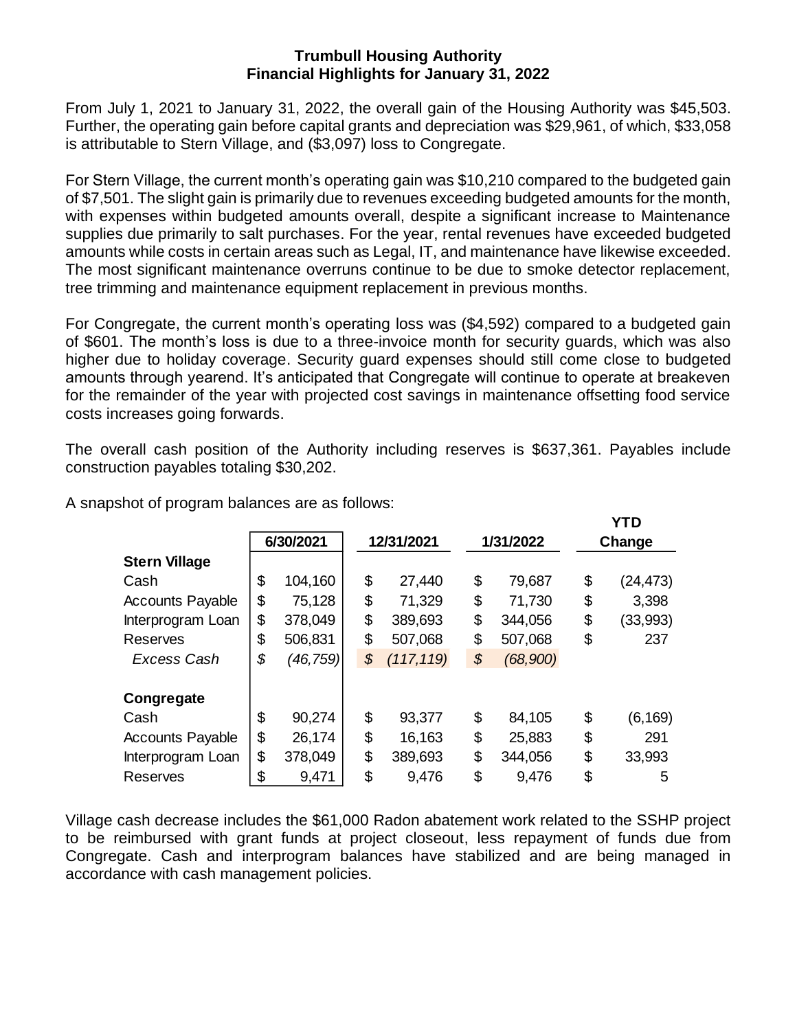## **Trumbull Housing Authority Financial Highlights for January 31, 2022**

From July 1, 2021 to January 31, 2022, the overall gain of the Housing Authority was \$45,503. Further, the operating gain before capital grants and depreciation was \$29,961, of which, \$33,058 is attributable to Stern Village, and (\$3,097) loss to Congregate.

For Stern Village, the current month's operating gain was \$10,210 compared to the budgeted gain of \$7,501. The slight gain is primarily due to revenues exceeding budgeted amounts for the month, with expenses within budgeted amounts overall, despite a significant increase to Maintenance supplies due primarily to salt purchases. For the year, rental revenues have exceeded budgeted amounts while costs in certain areas such as Legal, IT, and maintenance have likewise exceeded. The most significant maintenance overruns continue to be due to smoke detector replacement, tree trimming and maintenance equipment replacement in previous months.

For Congregate, the current month's operating loss was (\$4,592) compared to a budgeted gain of \$601. The month's loss is due to a three-invoice month for security guards, which was also higher due to holiday coverage. Security guard expenses should still come close to budgeted amounts through yearend. It's anticipated that Congregate will continue to operate at breakeven for the remainder of the year with projected cost savings in maintenance offsetting food service costs increases going forwards.

The overall cash position of the Authority including reserves is \$637,361. Payables include construction payables totaling \$30,202.

|                         |                |                  |                            |          | <b>YTD</b>      |
|-------------------------|----------------|------------------|----------------------------|----------|-----------------|
|                         | 6/30/2021      | 12/31/2021       | 1/31/2022                  |          | Change          |
| <b>Stern Village</b>    |                |                  |                            |          |                 |
| Cash                    | \$<br>104,160  | \$<br>27,440     | \$                         | 79,687   | \$<br>(24, 473) |
| <b>Accounts Payable</b> | \$<br>75,128   | \$<br>71,329     | \$                         | 71,730   | \$<br>3,398     |
| Interprogram Loan       | \$<br>378,049  | \$<br>389,693    | \$                         | 344,056  | \$<br>(33,993)  |
| <b>Reserves</b>         | \$<br>506,831  | \$<br>507,068    | \$                         | 507,068  | \$<br>237       |
| <b>Excess Cash</b>      | \$<br>(46,759) | \$<br>(117, 119) | $\boldsymbol{\mathcal{S}}$ | (68,900) |                 |
|                         |                |                  |                            |          |                 |
| Congregate              |                |                  |                            |          |                 |
| Cash                    | \$<br>90,274   | \$<br>93,377     | \$                         | 84,105   | \$<br>(6,169)   |
| <b>Accounts Payable</b> | \$<br>26,174   | \$<br>16,163     | \$                         | 25,883   | \$<br>291       |
| Interprogram Loan       | \$<br>378,049  | \$<br>389,693    | \$                         | 344,056  | \$<br>33,993    |
| Reserves                | \$<br>9,471    | \$<br>9,476      | \$                         | 9,476    | \$<br>5         |

A snapshot of program balances are as follows:

Village cash decrease includes the \$61,000 Radon abatement work related to the SSHP project to be reimbursed with grant funds at project closeout, less repayment of funds due from Congregate. Cash and interprogram balances have stabilized and are being managed in accordance with cash management policies.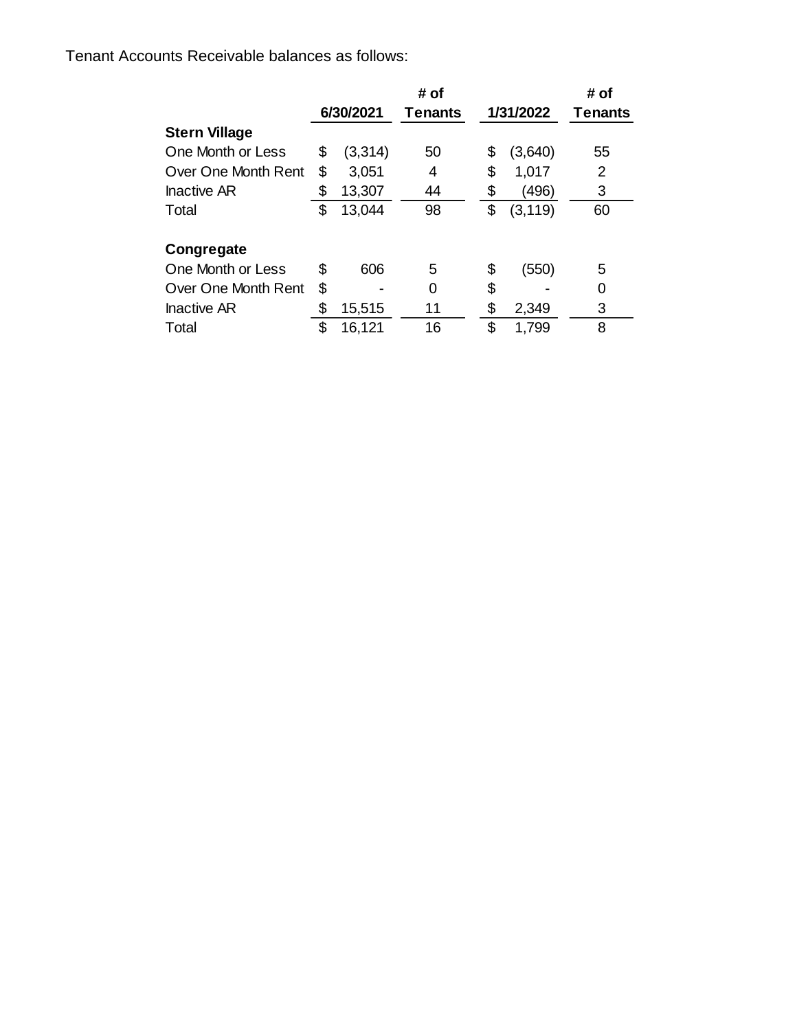Tenant Accounts Receivable balances as follows:

|                      |    |           | # of           |           |          | # of           |
|----------------------|----|-----------|----------------|-----------|----------|----------------|
|                      |    | 6/30/2021 | <b>Tenants</b> | 1/31/2022 |          | <b>Tenants</b> |
| <b>Stern Village</b> |    |           |                |           |          |                |
| One Month or Less    | \$ | (3,314)   | 50             | \$        | (3,640)  | 55             |
| Over One Month Rent  | \$ | 3,051     | 4              | \$        | 1,017    | 2              |
| <b>Inactive AR</b>   | \$ | 13,307    | 44             | \$        | (496)    | 3              |
| Total                | \$ | 13,044    | 98             | \$        | (3, 119) | 60             |
| Congregate           |    |           |                |           |          |                |
| One Month or Less    | S  | 606       | 5              | \$        | (550)    | 5              |
| Over One Month Rent  | \$ |           | 0              | \$        |          | 0              |
| <b>Inactive AR</b>   | \$ | 15,515    | 11             | \$        | 2,349    | 3              |
| Total                | \$ | 16,121    | 16             | \$        | 1,799    | 8              |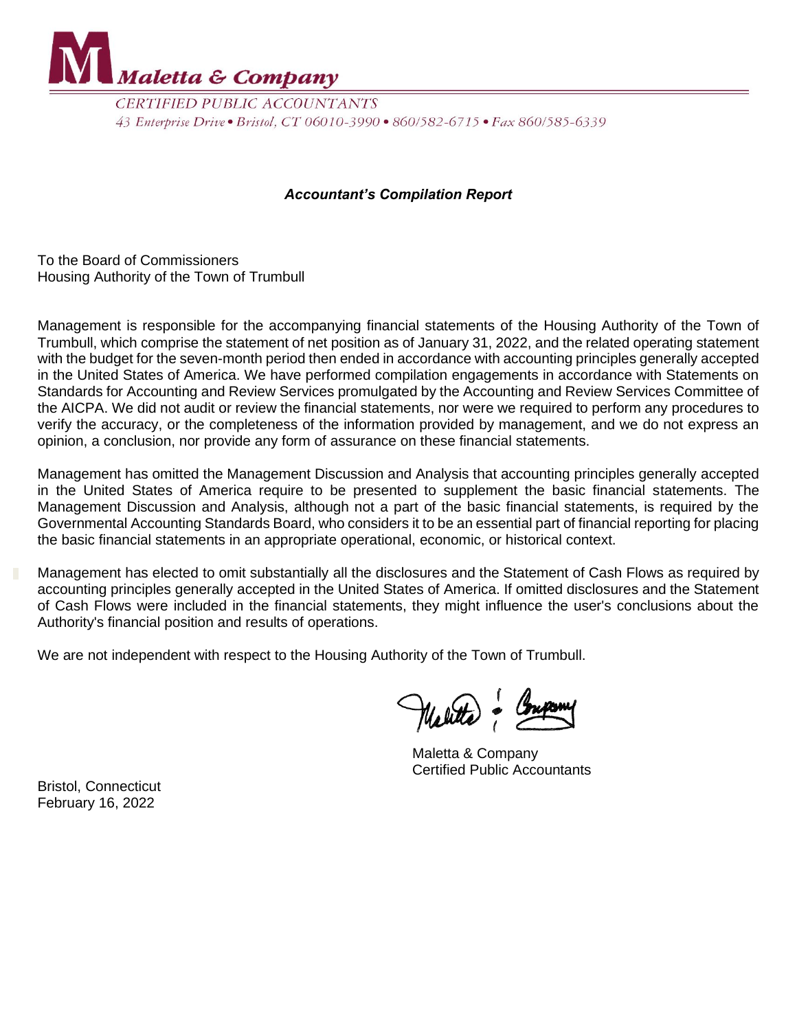

**CERTIFIED PUBLIC ACCOUNTANTS** 43 Enterprise Drive • Bristol, CT 06010-3990 • 860/582-6715 • Fax 860/585-6339

## *Accountant's Compilation Report*

To the Board of Commissioners Housing Authority of the Town of Trumbull

Management is responsible for the accompanying financial statements of the Housing Authority of the Town of Trumbull, which comprise the statement of net position as of January 31, 2022, and the related operating statement with the budget for the seven-month period then ended in accordance with accounting principles generally accepted in the United States of America. We have performed compilation engagements in accordance with Statements on Standards for Accounting and Review Services promulgated by the Accounting and Review Services Committee of the AICPA. We did not audit or review the financial statements, nor were we required to perform any procedures to verify the accuracy, or the completeness of the information provided by management, and we do not express an opinion, a conclusion, nor provide any form of assurance on these financial statements.

Management has omitted the Management Discussion and Analysis that accounting principles generally accepted in the United States of America require to be presented to supplement the basic financial statements. The Management Discussion and Analysis, although not a part of the basic financial statements, is required by the Governmental Accounting Standards Board, who considers it to be an essential part of financial reporting for placing the basic financial statements in an appropriate operational, economic, or historical context.

Management has elected to omit substantially all the disclosures and the Statement of Cash Flows as required by accounting principles generally accepted in the United States of America. If omitted disclosures and the Statement of Cash Flows were included in the financial statements, they might influence the user's conclusions about the Authority's financial position and results of operations.

We are not independent with respect to the Housing Authority of the Town of Trumbull.

Melitte - Company

Maletta & Company Certified Public Accountants

Bristol, Connecticut February 16, 2022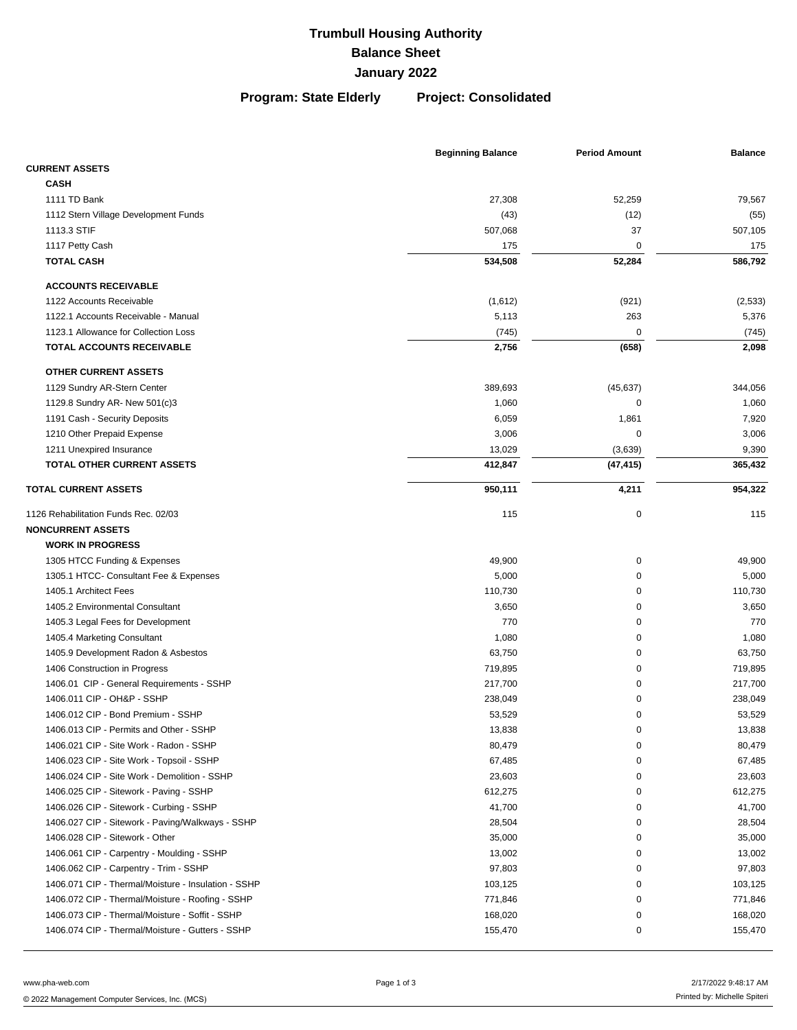**Program: State Elderly Project: Consolidated**

|                                                     | <b>Beginning Balance</b> | <b>Period Amount</b> | <b>Balance</b> |
|-----------------------------------------------------|--------------------------|----------------------|----------------|
| <b>CURRENT ASSETS</b>                               |                          |                      |                |
| <b>CASH</b>                                         |                          |                      |                |
| 1111 TD Bank                                        | 27,308                   | 52,259               | 79,567         |
| 1112 Stern Village Development Funds                | (43)                     | (12)                 | (55)           |
| 1113.3 STIF                                         | 507,068                  | 37                   | 507,105        |
| 1117 Petty Cash                                     | 175                      | 0                    | 175            |
| <b>TOTAL CASH</b>                                   | 534,508                  | 52,284               | 586,792        |
| <b>ACCOUNTS RECEIVABLE</b>                          |                          |                      |                |
| 1122 Accounts Receivable                            | (1,612)                  | (921)                | (2,533)        |
| 1122.1 Accounts Receivable - Manual                 | 5,113                    | 263                  | 5,376          |
| 1123.1 Allowance for Collection Loss                | (745)                    | 0                    | (745)          |
| TOTAL ACCOUNTS RECEIVABLE                           | 2,756                    | (658)                | 2,098          |
| <b>OTHER CURRENT ASSETS</b>                         |                          |                      |                |
| 1129 Sundry AR-Stern Center                         | 389,693                  | (45, 637)            | 344,056        |
| 1129.8 Sundry AR- New 501(c)3                       | 1,060                    | 0                    | 1,060          |
| 1191 Cash - Security Deposits                       | 6,059                    | 1,861                | 7,920          |
| 1210 Other Prepaid Expense                          | 3,006                    | 0                    | 3,006          |
| 1211 Unexpired Insurance                            | 13,029                   | (3,639)              | 9,390          |
| TOTAL OTHER CURRENT ASSETS                          | 412,847                  | (47, 415)            | 365,432        |
| <b>TOTAL CURRENT ASSETS</b>                         | 950,111                  | 4,211                | 954,322        |
|                                                     |                          |                      |                |
| 1126 Rehabilitation Funds Rec. 02/03                | 115                      | $\mathbf 0$          | 115            |
| <b>NONCURRENT ASSETS</b>                            |                          |                      |                |
| <b>WORK IN PROGRESS</b>                             |                          |                      |                |
| 1305 HTCC Funding & Expenses                        | 49,900                   | 0                    | 49,900         |
| 1305.1 HTCC- Consultant Fee & Expenses              | 5,000                    | 0                    | 5,000          |
| 1405.1 Architect Fees                               | 110,730                  | 0                    | 110,730        |
| 1405.2 Environmental Consultant                     | 3,650                    | 0                    | 3,650          |
| 1405.3 Legal Fees for Development                   | 770                      | 0                    | 770            |
| 1405.4 Marketing Consultant                         | 1,080                    | 0                    | 1,080          |
| 1405.9 Development Radon & Asbestos                 | 63,750                   | 0                    | 63,750         |
| 1406 Construction in Progress                       | 719,895                  | 0                    | 719,895        |
| 1406.01 CIP - General Requirements - SSHP           | 217,700                  | 0                    | 217,700        |
| 1406.011 CIP - OH&P - SSHP                          | 238,049                  | 0                    | 238,049        |
| 1406.012 CIP - Bond Premium - SSHP                  | 53,529                   | 0                    | 53,529         |
| 1406.013 CIP - Permits and Other - SSHP             | 13,838                   | U                    | 13,838         |
| 1406.021 CIP - Site Work - Radon - SSHP             | 80,479                   | 0                    | 80,479         |
| 1406.023 CIP - Site Work - Topsoil - SSHP           | 67,485                   | 0                    | 67,485         |
| 1406.024 CIP - Site Work - Demolition - SSHP        | 23,603                   | 0                    | 23,603         |
| 1406.025 CIP - Sitework - Paving - SSHP             | 612,275                  | 0                    | 612,275        |
| 1406.026 CIP - Sitework - Curbing - SSHP            | 41,700                   | 0                    | 41,700         |
| 1406.027 CIP - Sitework - Paving/Walkways - SSHP    | 28,504                   | 0                    | 28,504         |
| 1406.028 CIP - Sitework - Other                     | 35,000                   | 0                    | 35,000         |
| 1406.061 CIP - Carpentry - Moulding - SSHP          | 13,002                   | 0                    | 13,002         |
| 1406.062 CIP - Carpentry - Trim - SSHP              | 97,803                   | 0                    | 97,803         |
| 1406.071 CIP - Thermal/Moisture - Insulation - SSHP | 103,125                  | 0                    | 103,125        |
| 1406.072 CIP - Thermal/Moisture - Roofing - SSHP    | 771,846                  | 0                    | 771,846        |
| 1406.073 CIP - Thermal/Moisture - Soffit - SSHP     | 168,020                  | 0                    | 168,020        |
| 1406.074 CIP - Thermal/Moisture - Gutters - SSHP    | 155,470                  | 0                    | 155,470        |
|                                                     |                          |                      |                |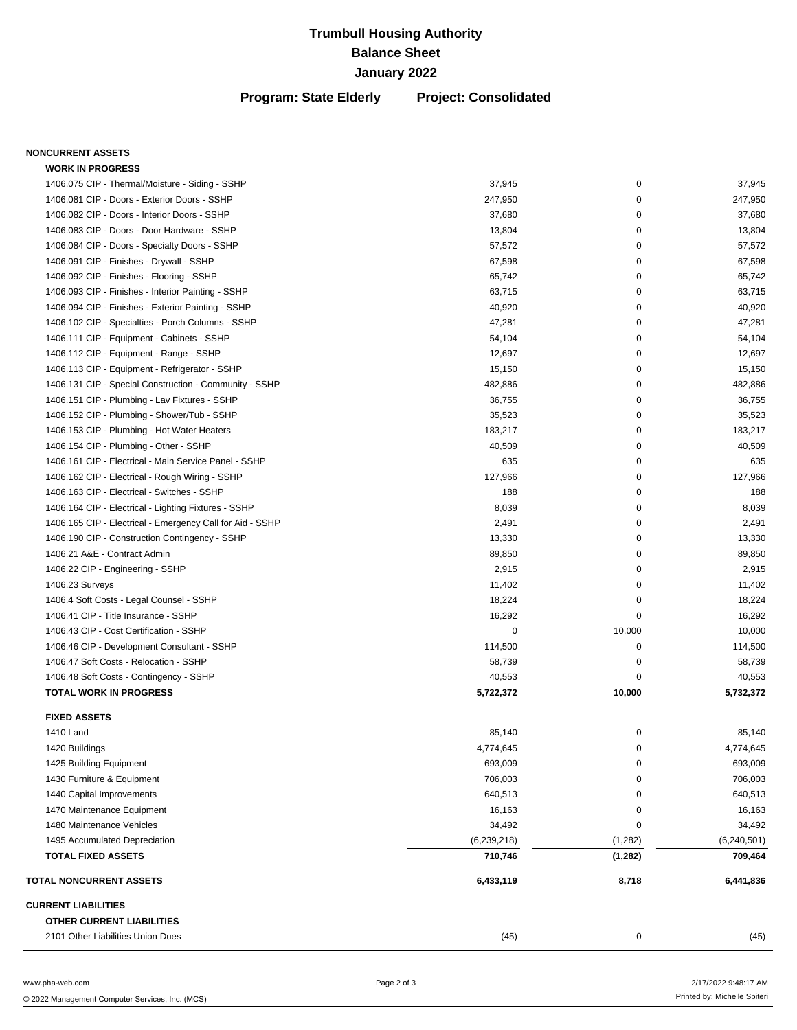### **Program: State Elderly Project: Consolidated**

### **NONCURRENT ASSETS**

| 2101 Other Liabilities Union Dues                         | (45)          | 0           | (45)          |
|-----------------------------------------------------------|---------------|-------------|---------------|
|                                                           |               |             |               |
| OTHER CURRENT LIABILITIES                                 |               |             |               |
| <b>CURRENT LIABILITIES</b>                                |               |             |               |
| <b>TOTAL NONCURRENT ASSETS</b>                            | 6,433,119     | 8,718       | 6,441,836     |
| <b>TOTAL FIXED ASSETS</b>                                 | 710,746       | (1,282)     | 709,464       |
| 1495 Accumulated Depreciation                             | (6, 239, 218) | (1,282)     | (6, 240, 501) |
| 1480 Maintenance Vehicles                                 | 34,492        | 0           | 34,492        |
| 1470 Maintenance Equipment                                | 16,163        | 0           | 16,163        |
| 1440 Capital Improvements                                 | 640,513       | 0           | 640,513       |
| 1430 Furniture & Equipment                                | 706,003       | 0           | 706,003       |
| 1425 Building Equipment                                   | 693,009       | 0           | 693,009       |
| 1420 Buildings                                            | 4,774,645     | 0           | 4,774,645     |
| 1410 Land                                                 | 85,140        | 0           | 85,140        |
| <b>FIXED ASSETS</b>                                       |               |             |               |
| <b>TOTAL WORK IN PROGRESS</b>                             | 5,722,372     | 10,000      | 5,732,372     |
| 1406.48 Soft Costs - Contingency - SSHP                   | 40,553        | $\mathbf 0$ | 40,553        |
| 1406.47 Soft Costs - Relocation - SSHP                    | 58,739        | 0           | 58,739        |
| 1406.46 CIP - Development Consultant - SSHP               | 114,500       | 0           | 114,500       |
| 1406.43 CIP - Cost Certification - SSHP                   | 0             | 10,000      | 10,000        |
| 1406.41 CIP - Title Insurance - SSHP                      | 16,292        | 0           | 16,292        |
| 1406.4 Soft Costs - Legal Counsel - SSHP                  | 18,224        | 0           | 18,224        |
| 1406.23 Surveys                                           | 11,402        | 0           | 11,402        |
| 1406.22 CIP - Engineering - SSHP                          | 2,915         | 0           | 2,915         |
| 1406.21 A&E - Contract Admin                              | 89,850        | 0           | 89,850        |
| 1406.190 CIP - Construction Contingency - SSHP            | 13,330        | 0           | 13,330        |
| 1406.165 CIP - Electrical - Emergency Call for Aid - SSHP | 2,491         | 0           | 2,491         |
| 1406.164 CIP - Electrical - Lighting Fixtures - SSHP      | 8,039         | 0           | 8,039         |
| 1406.163 CIP - Electrical - Switches - SSHP               | 188           | $\mathbf 0$ | 188           |
| 1406.162 CIP - Electrical - Rough Wiring - SSHP           | 127,966       | 0           | 127,966       |
| 1406.161 CIP - Electrical - Main Service Panel - SSHP     | 635           | 0           | 635           |
| 1406.154 CIP - Plumbing - Other - SSHP                    | 40,509        | 0           | 40,509        |
| 1406.153 CIP - Plumbing - Hot Water Heaters               | 183,217       | 0           | 183,217       |
| 1406.152 CIP - Plumbing - Shower/Tub - SSHP               | 35,523        | 0           | 35,523        |
| 1406.151 CIP - Plumbing - Lav Fixtures - SSHP             | 36,755        | 0           | 36,755        |
| 1406.131 CIP - Special Construction - Community - SSHP    | 482,886       | 0           | 482,886       |
| 1406.113 CIP - Equipment - Refrigerator - SSHP            | 15,150        | 0           | 15,150        |
| 1406.112 CIP - Equipment - Range - SSHP                   | 12,697        | $\mathbf 0$ | 12,697        |
| 1406.111 CIP - Equipment - Cabinets - SSHP                | 54,104        | $\mathbf 0$ | 54,104        |
| 1406.102 CIP - Specialties - Porch Columns - SSHP         | 47,281        | 0           | 47,281        |
| 1406.094 CIP - Finishes - Exterior Painting - SSHP        | 40,920        | 0           | 40,920        |
| 1406.093 CIP - Finishes - Interior Painting - SSHP        | 63,715        | 0           | 63,715        |
| 1406.092 CIP - Finishes - Flooring - SSHP                 | 65,742        | 0           | 65,742        |
| 1406.091 CIP - Finishes - Drywall - SSHP                  | 67,598        | 0           | 67,598        |
| 1406.084 CIP - Doors - Specialty Doors - SSHP             | 57,572        | 0           | 57,572        |
| 1406.083 CIP - Doors - Door Hardware - SSHP               | 13,804        | 0           | 13,804        |
| 1406.082 CIP - Doors - Interior Doors - SSHP              | 37,680        | $\mathbf 0$ | 37,680        |
| 1406.081 CIP - Doors - Exterior Doors - SSHP              | 247,950       | $\mathbf 0$ | 247,950       |
| 1406.075 CIP - Thermal/Moisture - Siding - SSHP           | 37,945        | $\pmb{0}$   | 37,945        |

 $\overline{\phantom{a}}$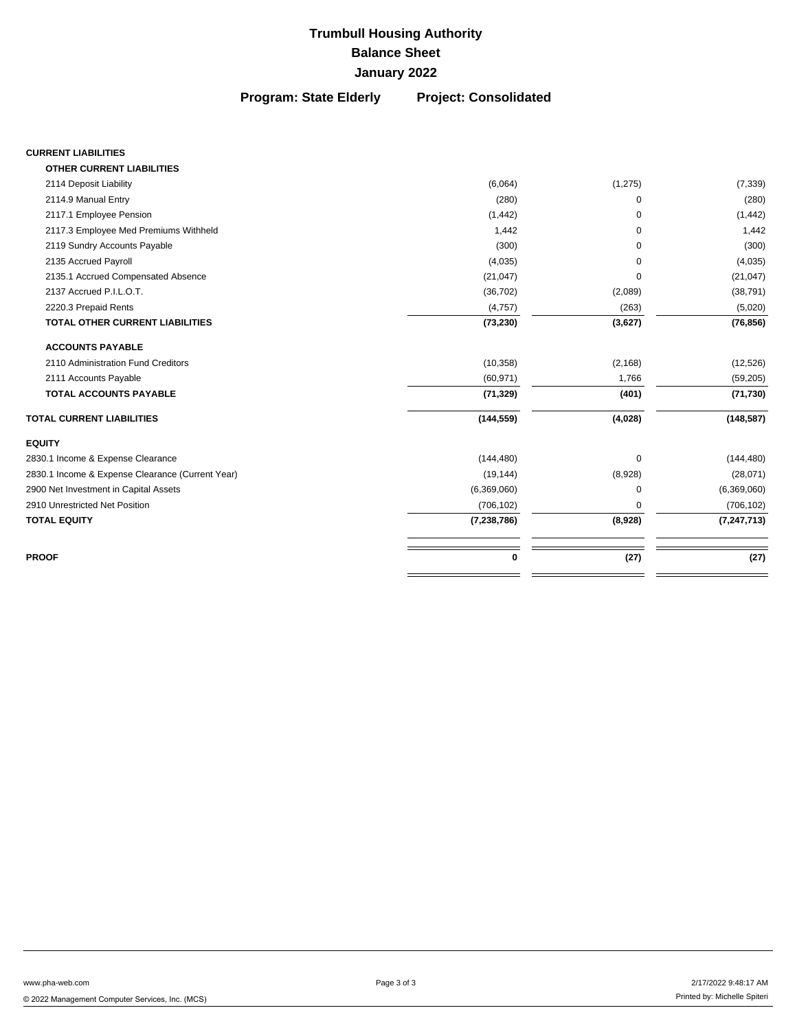**Program: State Elderly Project: Consolidated**

### **CURRENT LIABILITIES**

| <b>OTHER CURRENT LIABILITIES</b>                 |               |          |               |
|--------------------------------------------------|---------------|----------|---------------|
| 2114 Deposit Liability                           | (6,064)       | (1, 275) | (7, 339)      |
| 2114.9 Manual Entry                              | (280)         | $\Omega$ | (280)         |
| 2117.1 Employee Pension                          | (1, 442)      | $\Omega$ | (1, 442)      |
| 2117.3 Employee Med Premiums Withheld            | 1,442         | $\Omega$ | 1,442         |
| 2119 Sundry Accounts Payable                     | (300)         | $\Omega$ | (300)         |
| 2135 Accrued Payroll                             | (4,035)       | $\Omega$ | (4,035)       |
| 2135.1 Accrued Compensated Absence               | (21, 047)     | $\Omega$ | (21, 047)     |
| 2137 Accrued P.I.L.O.T.                          | (36, 702)     | (2,089)  | (38, 791)     |
| 2220.3 Prepaid Rents                             | (4,757)       | (263)    | (5,020)       |
| <b>TOTAL OTHER CURRENT LIABILITIES</b>           | (73, 230)     | (3,627)  | (76, 856)     |
| <b>ACCOUNTS PAYABLE</b>                          |               |          |               |
| 2110 Administration Fund Creditors               | (10, 358)     | (2, 168) | (12, 526)     |
| 2111 Accounts Payable                            | (60, 971)     | 1,766    | (59, 205)     |
| <b>TOTAL ACCOUNTS PAYABLE</b>                    | (71, 329)     | (401)    | (71, 730)     |
| <b>TOTAL CURRENT LIABILITIES</b>                 | (144, 559)    | (4,028)  | (148, 587)    |
| <b>EQUITY</b>                                    |               |          |               |
| 2830.1 Income & Expense Clearance                | (144, 480)    | $\Omega$ | (144, 480)    |
| 2830.1 Income & Expense Clearance (Current Year) | (19, 144)     | (8,928)  | (28,071)      |
| 2900 Net Investment in Capital Assets            | (6,369,060)   | $\Omega$ | (6,369,060)   |
| 2910 Unrestricted Net Position                   | (706, 102)    | 0        | (706, 102)    |
| <b>TOTAL EQUITY</b>                              | (7, 238, 786) | (8,928)  | (7, 247, 713) |
| <b>PROOF</b>                                     | 0             | (27)     | (27)          |
|                                                  |               |          |               |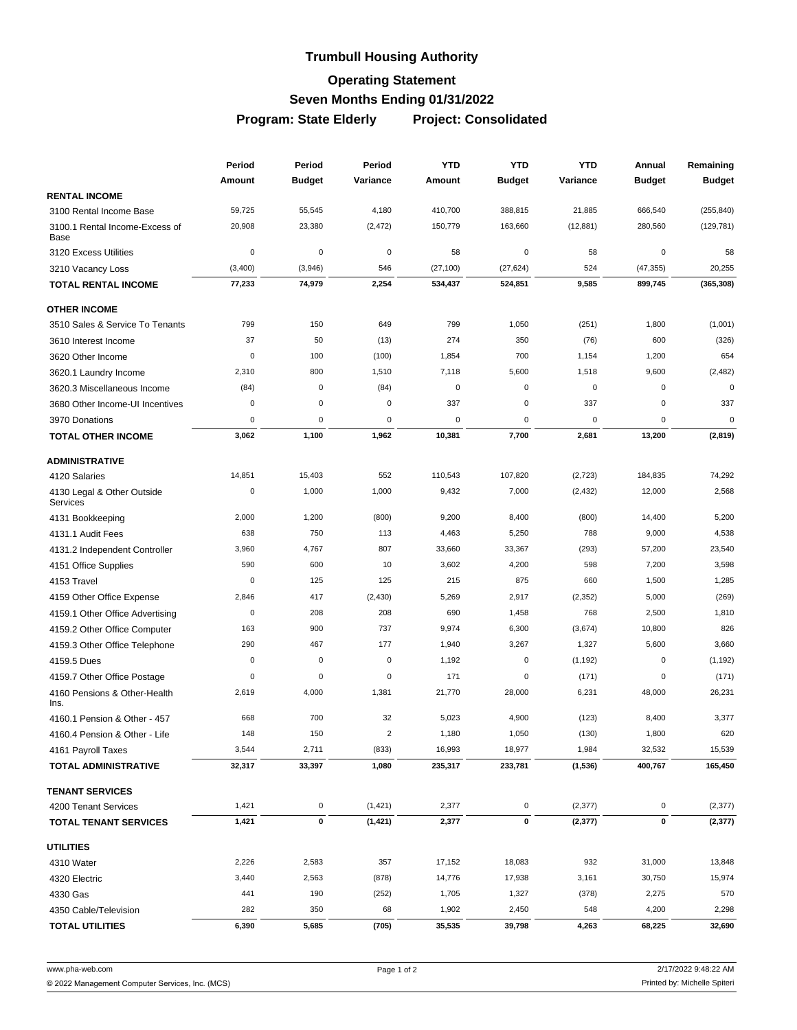## **Trumbull Housing Authority**

## **Operating Statement**

## **Seven Months Ending 01/31/2022**

**Program: State Elderly Project: Consolidated**

|                                               | Period      |               |                         | Period<br>Period<br><b>YTD</b> |               | <b>YTD</b><br>YTD | Annual<br><b>Budget</b> | Remaining     |
|-----------------------------------------------|-------------|---------------|-------------------------|--------------------------------|---------------|-------------------|-------------------------|---------------|
|                                               | Amount      | <b>Budget</b> | Variance                | Amount                         | <b>Budget</b> | Variance          |                         | <b>Budget</b> |
| <b>RENTAL INCOME</b>                          |             |               |                         |                                |               |                   |                         |               |
| 3100 Rental Income Base                       | 59,725      | 55,545        | 4,180                   | 410,700                        | 388,815       | 21,885            | 666,540                 | (255, 840)    |
| 3100.1 Rental Income-Excess of<br>Base        | 20,908      | 23,380        | (2, 472)                | 150,779                        | 163,660       | (12, 881)         | 280,560                 | (129, 781)    |
| 3120 Excess Utilities                         | $\mathbf 0$ | $\mathbf 0$   | 0                       | 58                             | 0             | 58                | 0                       | 58            |
| 3210 Vacancy Loss                             | (3,400)     | (3,946)       | 546                     | (27, 100)                      | (27, 624)     | 524               | (47, 355)               | 20,255        |
| TOTAL RENTAL INCOME                           | 77,233      | 74,979        | 2,254                   | 534,437                        | 524,851       | 9,585             | 899,745                 | (365, 308)    |
| <b>OTHER INCOME</b>                           |             |               |                         |                                |               |                   |                         |               |
| 3510 Sales & Service To Tenants               | 799         | 150           | 649                     | 799                            | 1,050         | (251)             | 1,800                   | (1,001)       |
| 3610 Interest Income                          | 37          | 50            | (13)                    | 274                            | 350           | (76)              | 600                     | (326)         |
| 3620 Other Income                             | $\mathbf 0$ | 100           | (100)                   | 1,854                          | 700           | 1,154             | 1,200                   | 654           |
| 3620.1 Laundry Income                         | 2,310       | 800           | 1,510                   | 7,118                          | 5,600         | 1,518             | 9,600                   | (2, 482)      |
| 3620.3 Miscellaneous Income                   | (84)        | $\mathbf 0$   | (84)                    | $\mathbf 0$                    | $\mathbf 0$   | $\mathbf 0$       | $\mathbf 0$             | $\mathbf 0$   |
| 3680 Other Income-UI Incentives               | $\mathbf 0$ | $\mathbf 0$   | 0                       | 337                            | 0             | 337               | $\mathbf 0$             | 337           |
| 3970 Donations                                | 0           | $\mathbf 0$   | 0                       | $\mathbf 0$                    | $\mathbf 0$   | 0                 | 0                       | $\mathbf 0$   |
| <b>TOTAL OTHER INCOME</b>                     | 3,062       | 1,100         | 1,962                   | 10,381                         | 7,700         | 2,681             | 13,200                  | (2,819)       |
| <b>ADMINISTRATIVE</b>                         |             |               |                         |                                |               |                   |                         |               |
| 4120 Salaries                                 | 14,851      | 15,403        | 552                     | 110,543                        | 107,820       | (2,723)           | 184,835                 | 74,292        |
| 4130 Legal & Other Outside<br><b>Services</b> | $\pmb{0}$   | 1,000         | 1,000                   | 9,432                          | 7,000         | (2, 432)          | 12,000                  | 2,568         |
| 4131 Bookkeeping                              | 2,000       | 1,200         | (800)                   | 9,200                          | 8,400         | (800)             | 14,400                  | 5,200         |
| 4131.1 Audit Fees                             | 638         | 750           | 113                     | 4,463                          | 5,250         | 788               | 9,000                   | 4,538         |
| 4131.2 Independent Controller                 | 3,960       | 4,767         | 807                     | 33,660                         | 33,367        | (293)             | 57,200                  | 23,540        |
| 4151 Office Supplies                          | 590         | 600           | 10                      | 3,602                          | 4,200         | 598               | 7,200                   | 3,598         |
| 4153 Travel                                   | $\mathbf 0$ | 125           | 125                     | 215                            | 875           | 660               | 1,500                   | 1,285         |
| 4159 Other Office Expense                     | 2,846       | 417           | (2, 430)                | 5,269                          | 2,917         | (2, 352)          | 5,000                   | (269)         |
| 4159.1 Other Office Advertising               | $\mathbf 0$ | 208           | 208                     | 690                            | 1,458         | 768               | 2,500                   | 1,810         |
| 4159.2 Other Office Computer                  | 163         | 900           | 737                     | 9,974                          | 6,300         | (3,674)           | 10,800                  | 826           |
| 4159.3 Other Office Telephone                 | 290         | 467           | 177                     | 1,940                          | 3,267         | 1,327             | 5,600                   | 3,660         |
| 4159.5 Dues                                   | $\pmb{0}$   | $\mathbf 0$   | 0                       | 1,192                          | $\mathbf 0$   | (1, 192)          | $\mathbf 0$             | (1, 192)      |
| 4159.7 Other Office Postage                   | 0           | $\mathbf 0$   | 0                       | 171                            | 0             | (171)             | 0                       | (171)         |
| 4160 Pensions & Other-Health<br>Ins.          | 2,619       | 4,000         | 1,381                   | 21,770                         | 28,000        | 6,231             | 48,000                  | 26,231        |
| 4160.1 Pension & Other - 457                  | 668         | 700           | 32                      | 5,023                          | 4,900         | (123)             | 8,400                   | 3,377         |
| 4160.4 Pension & Other - Life                 | 148         | 150           | $\overline{\mathbf{c}}$ | 1,180                          | 1,050         | (130)             | 1,800                   | 620           |
| 4161 Payroll Taxes                            | 3,544       | 2,711         | (833)                   | 16,993                         | 18,977        | 1,984             | 32,532                  | 15,539        |
| <b>TOTAL ADMINISTRATIVE</b>                   | 32,317      | 33,397        | 1,080                   | 235,317                        | 233,781       | (1, 536)          | 400,767                 | 165,450       |
| <b>TENANT SERVICES</b>                        |             |               |                         |                                |               |                   |                         |               |
| 4200 Tenant Services                          | 1,421       | 0             | (1, 421)                | 2,377                          | 0             | (2, 377)          | 0                       | (2, 377)      |
| <b>TOTAL TENANT SERVICES</b>                  | 1,421       | $\mathbf 0$   | (1, 421)                | 2,377                          | $\mathbf 0$   | (2, 377)          | $\pmb{0}$               | (2, 377)      |
| <b>UTILITIES</b>                              |             |               |                         |                                |               |                   |                         |               |
| 4310 Water                                    | 2,226       | 2,583         | 357                     | 17,152                         | 18,083        | 932               | 31,000                  | 13,848        |
| 4320 Electric                                 | 3,440       | 2,563         | (878)                   | 14,776                         | 17,938        | 3,161             | 30,750                  | 15,974        |
| 4330 Gas                                      | 441         | 190           | (252)                   | 1,705                          | 1,327         | (378)             | 2,275                   | 570           |
| 4350 Cable/Television                         | 282         | 350           | 68                      | 1,902                          | 2,450         | 548               | 4,200                   | 2,298         |
| <b>TOTAL UTILITIES</b>                        | 6,390       | 5,685         | (705)                   | 35,535                         | 39,798        | 4,263             | 68,225                  | 32,690        |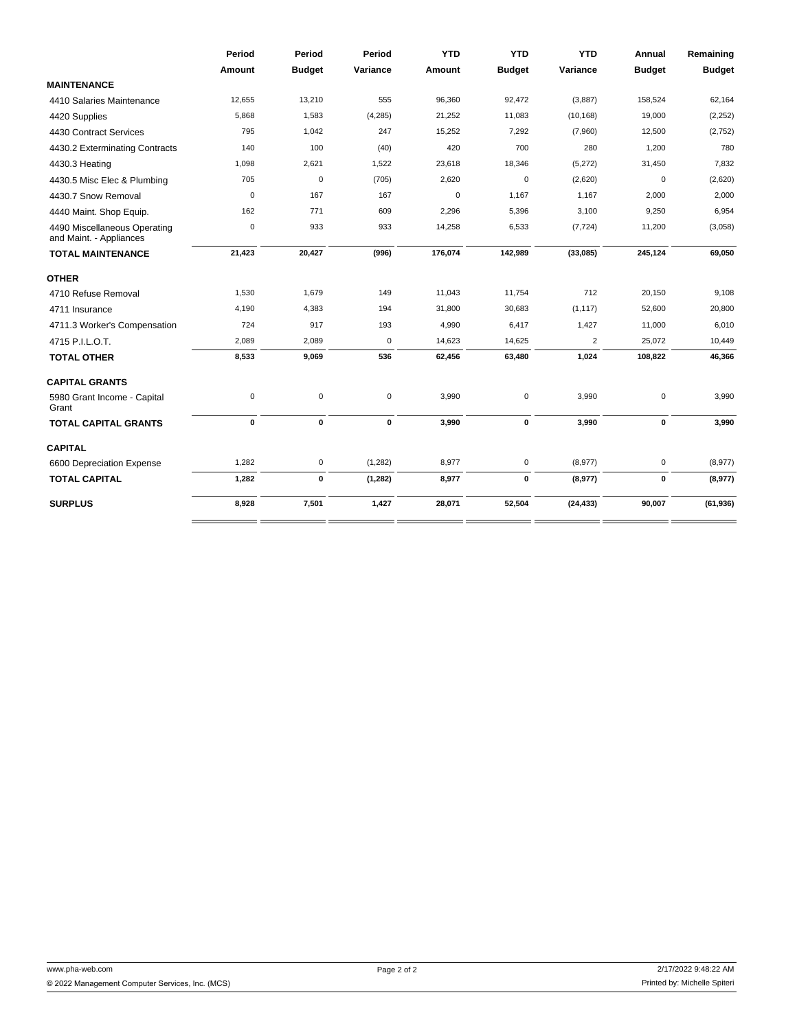|                                                         | Period        | Period        | Period    | <b>YTD</b>  | <b>YTD</b>    | <b>YTD</b>     | Annual        | Remaining     |
|---------------------------------------------------------|---------------|---------------|-----------|-------------|---------------|----------------|---------------|---------------|
|                                                         | <b>Amount</b> | <b>Budget</b> | Variance  | Amount      | <b>Budget</b> | Variance       | <b>Budget</b> | <b>Budget</b> |
| <b>MAINTENANCE</b>                                      |               |               |           |             |               |                |               |               |
| 4410 Salaries Maintenance                               | 12,655        | 13,210        | 555       | 96,360      | 92,472        | (3,887)        | 158,524       | 62,164        |
| 4420 Supplies                                           | 5,868         | 1,583         | (4, 285)  | 21,252      | 11,083        | (10, 168)      | 19,000        | (2, 252)      |
| 4430 Contract Services                                  | 795           | 1,042         | 247       | 15,252      | 7,292         | (7,960)        | 12,500        | (2,752)       |
| 4430.2 Exterminating Contracts                          | 140           | 100           | (40)      | 420         | 700           | 280            | 1,200         | 780           |
| 4430.3 Heating                                          | 1,098         | 2,621         | 1,522     | 23,618      | 18,346        | (5,272)        | 31,450        | 7,832         |
| 4430.5 Misc Elec & Plumbing                             | 705           | $\mathbf 0$   | (705)     | 2,620       | $\mathsf 0$   | (2,620)        | $\mathbf 0$   | (2,620)       |
| 4430.7 Snow Removal                                     | $\mathbf 0$   | 167           | 167       | $\mathbf 0$ | 1,167         | 1,167          | 2,000         | 2,000         |
| 4440 Maint. Shop Equip.                                 | 162           | 771           | 609       | 2,296       | 5,396         | 3,100          | 9,250         | 6,954         |
| 4490 Miscellaneous Operating<br>and Maint. - Appliances | $\mathbf 0$   | 933           | 933       | 14,258      | 6,533         | (7, 724)       | 11,200        | (3,058)       |
| <b>TOTAL MAINTENANCE</b>                                | 21,423        | 20,427        | (996)     | 176,074     | 142,989       | (33,085)       | 245,124       | 69,050        |
| <b>OTHER</b>                                            |               |               |           |             |               |                |               |               |
| 4710 Refuse Removal                                     | 1,530         | 1,679         | 149       | 11,043      | 11,754        | 712            | 20,150        | 9,108         |
| 4711 Insurance                                          | 4,190         | 4,383         | 194       | 31,800      | 30,683        | (1, 117)       | 52,600        | 20,800        |
| 4711.3 Worker's Compensation                            | 724           | 917           | 193       | 4,990       | 6,417         | 1,427          | 11,000        | 6,010         |
| 4715 P.I.L.O.T.                                         | 2,089         | 2,089         | $\pmb{0}$ | 14,623      | 14,625        | $\overline{2}$ | 25,072        | 10,449        |
| <b>TOTAL OTHER</b>                                      | 8,533         | 9,069         | 536       | 62,456      | 63,480        | 1,024          | 108,822       | 46,366        |
| <b>CAPITAL GRANTS</b>                                   |               |               |           |             |               |                |               |               |
| 5980 Grant Income - Capital<br>Grant                    | $\mathsf 0$   | $\mathbf 0$   | $\pmb{0}$ | 3,990       | 0             | 3,990          | 0             | 3,990         |
| <b>TOTAL CAPITAL GRANTS</b>                             | $\mathbf 0$   | $\mathbf 0$   | 0         | 3,990       | $\mathbf 0$   | 3,990          | $\mathbf 0$   | 3,990         |
| <b>CAPITAL</b>                                          |               |               |           |             |               |                |               |               |
| 6600 Depreciation Expense                               | 1,282         | $\mathsf 0$   | (1, 282)  | 8,977       | $\mathsf 0$   | (8,977)        | $\mathbf 0$   | (8,977)       |
| <b>TOTAL CAPITAL</b>                                    | 1,282         | 0             | (1, 282)  | 8,977       | 0             | (8,977)        | $\pmb{0}$     | (8,977)       |
| <b>SURPLUS</b>                                          | 8,928         | 7,501         | 1,427     | 28,071      | 52,504        | (24, 433)      | 90,007        | (61, 936)     |
|                                                         |               |               |           |             |               |                |               |               |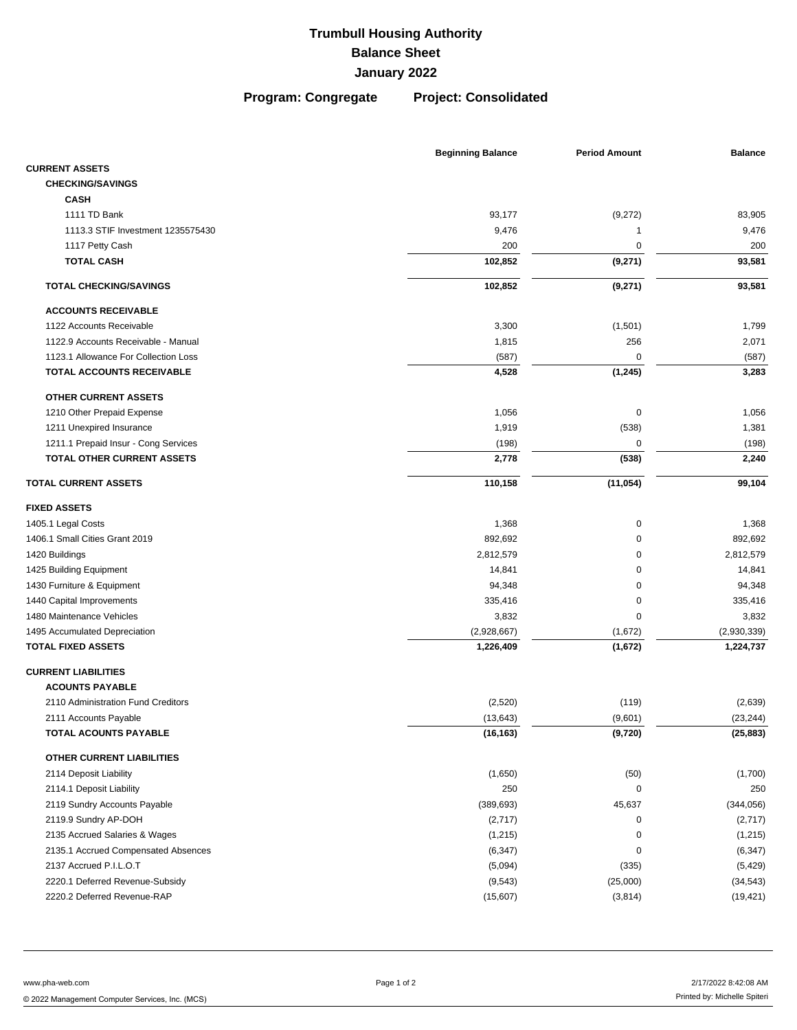**Program: Congregate Project: Consolidated**

|                                      | <b>Beginning Balance</b> | <b>Period Amount</b> | <b>Balance</b> |
|--------------------------------------|--------------------------|----------------------|----------------|
| <b>CURRENT ASSETS</b>                |                          |                      |                |
| <b>CHECKING/SAVINGS</b>              |                          |                      |                |
| <b>CASH</b>                          |                          |                      |                |
| 1111 TD Bank                         | 93,177                   | (9,272)              | 83,905         |
| 1113.3 STIF Investment 1235575430    | 9,476                    | 1                    | 9,476          |
| 1117 Petty Cash                      | 200                      | 0                    | 200            |
| <b>TOTAL CASH</b>                    | 102,852                  | (9,271)              | 93,581         |
| <b>TOTAL CHECKING/SAVINGS</b>        | 102,852                  | (9,271)              | 93,581         |
| <b>ACCOUNTS RECEIVABLE</b>           |                          |                      |                |
| 1122 Accounts Receivable             | 3,300                    | (1,501)              | 1,799          |
| 1122.9 Accounts Receivable - Manual  | 1,815                    | 256                  | 2,071          |
| 1123.1 Allowance For Collection Loss | (587)                    | 0                    | (587)          |
| TOTAL ACCOUNTS RECEIVABLE            | 4,528                    | (1, 245)             | 3,283          |
| <b>OTHER CURRENT ASSETS</b>          |                          |                      |                |
| 1210 Other Prepaid Expense           | 1,056                    | $\mathbf 0$          | 1,056          |
| 1211 Unexpired Insurance             | 1,919                    | (538)                | 1,381          |
| 1211.1 Prepaid Insur - Cong Services | (198)                    | 0                    | (198)          |
| <b>TOTAL OTHER CURRENT ASSETS</b>    | 2,778                    | (538)                | 2,240          |
| <b>TOTAL CURRENT ASSETS</b>          | 110,158                  | (11, 054)            | 99,104         |
| <b>FIXED ASSETS</b>                  |                          |                      |                |
| 1405.1 Legal Costs                   | 1,368                    | $\mathbf 0$          | 1,368          |
| 1406.1 Small Cities Grant 2019       | 892,692                  | 0                    | 892,692        |
| 1420 Buildings                       | 2,812,579                | 0                    | 2,812,579      |
| 1425 Building Equipment              | 14,841                   | 0                    | 14,841         |
| 1430 Furniture & Equipment           | 94,348                   | 0                    | 94,348         |
| 1440 Capital Improvements            | 335,416                  | 0                    | 335,416        |
| 1480 Maintenance Vehicles            | 3,832                    | 0                    | 3,832          |
| 1495 Accumulated Depreciation        | (2,928,667)              | (1,672)              | (2,930,339)    |
| <b>TOTAL FIXED ASSETS</b>            | 1,226,409                | (1,672)              | 1,224,737      |
| <b>CURRENT LIABILITIES</b>           |                          |                      |                |
| <b>ACOUNTS PAYABLE</b>               |                          |                      |                |
| 2110 Administration Fund Creditors   | (2,520)                  | (119)                | (2,639)        |
| 2111 Accounts Payable                | (13, 643)                | (9,601)              | (23, 244)      |
| TOTAL ACOUNTS PAYABLE                | (16, 163)                | (9,720)              | (25, 883)      |
| OTHER CURRENT LIABILITIES            |                          |                      |                |
| 2114 Deposit Liability               | (1,650)                  | (50)                 | (1,700)        |
| 2114.1 Deposit Liability             | 250                      | $\mathbf 0$          | 250            |
| 2119 Sundry Accounts Payable         | (389, 693)               | 45,637               | (344, 056)     |
| 2119.9 Sundry AP-DOH                 | (2,717)                  | $\pmb{0}$            | (2,717)        |
| 2135 Accrued Salaries & Wages        | (1,215)                  | 0                    | (1, 215)       |
| 2135.1 Accrued Compensated Absences  | (6, 347)                 | 0                    | (6, 347)       |
| 2137 Accrued P.I.L.O.T               | (5,094)                  | (335)                | (5, 429)       |
| 2220.1 Deferred Revenue-Subsidy      | (9, 543)                 | (25,000)             | (34, 543)      |
| 2220.2 Deferred Revenue-RAP          | (15,607)                 | (3,814)              | (19, 421)      |

www.pha-web.com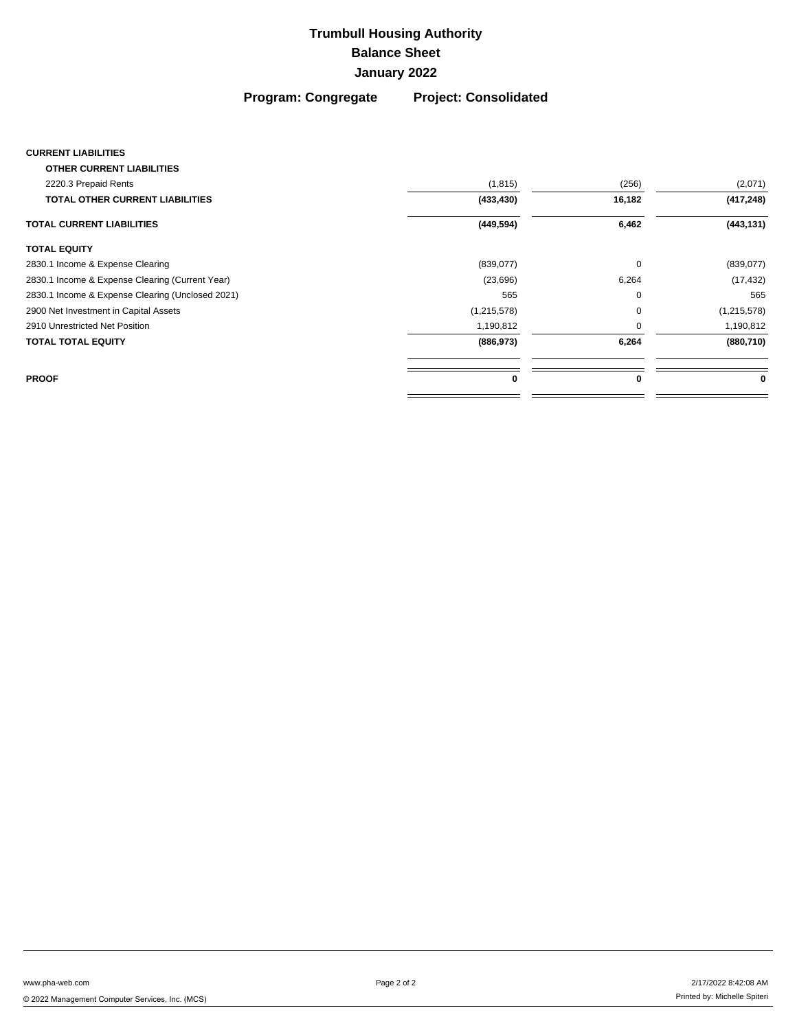**Program: Congregate Project: Consolidated**

### **CURRENT LIABILITIES**

| <b>OTHER CURRENT LIABILITIES</b>                 |             |          |               |
|--------------------------------------------------|-------------|----------|---------------|
| 2220.3 Prepaid Rents                             | (1, 815)    | (256)    | (2,071)       |
| <b>TOTAL OTHER CURRENT LIABILITIES</b>           | (433, 430)  | 16,182   | (417, 248)    |
| <b>TOTAL CURRENT LIABILITIES</b>                 | (449, 594)  | 6,462    | (443, 131)    |
| <b>TOTAL EQUITY</b>                              |             |          |               |
| 2830.1 Income & Expense Clearing                 | (839,077)   | $\Omega$ | (839,077)     |
| 2830.1 Income & Expense Clearing (Current Year)  | (23, 696)   | 6,264    | (17, 432)     |
| 2830.1 Income & Expense Clearing (Unclosed 2021) | 565         | O        | 565           |
| 2900 Net Investment in Capital Assets            | (1,215,578) | $\Omega$ | (1, 215, 578) |
| 2910 Unrestricted Net Position                   | 1,190,812   | O        | 1,190,812     |
| <b>TOTAL TOTAL EQUITY</b>                        | (886, 973)  | 6,264    | (880, 710)    |
| <b>PROOF</b>                                     | 0           | 0        | 0             |
|                                                  |             |          |               |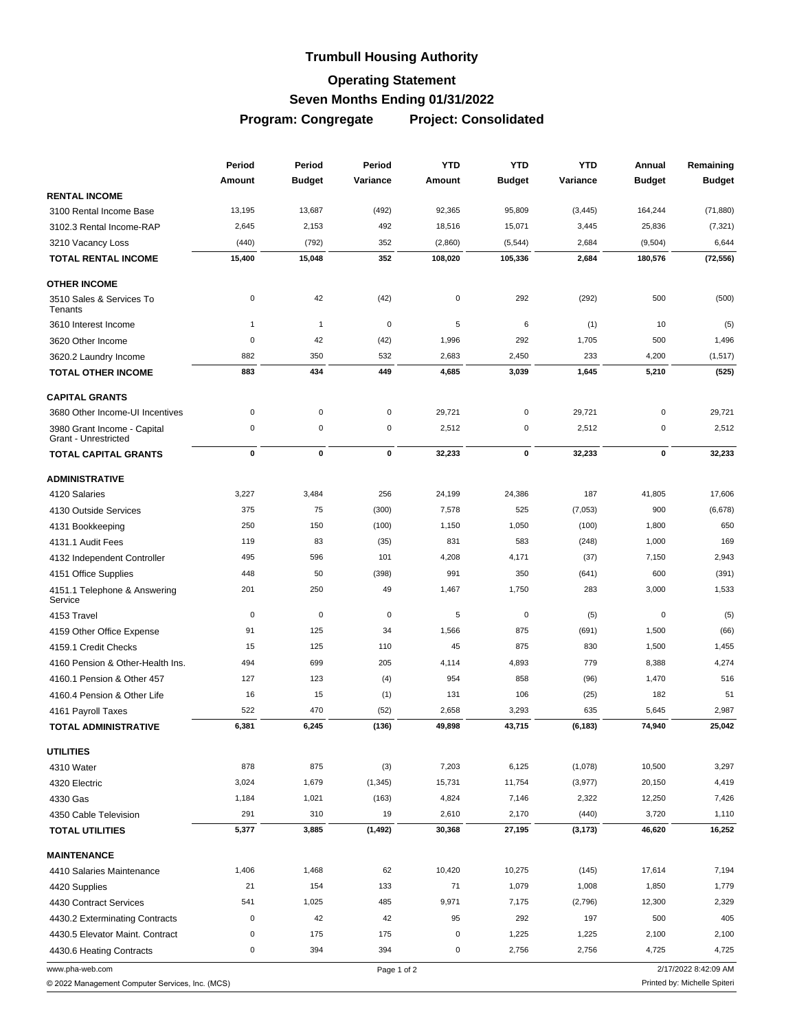# **Trumbull Housing Authority Operating Statement Seven Months Ending 01/31/2022**

**Program: Congregate Project: Consolidated**

|                                                            | Period       | Period        | Period      | <b>YTD</b> | <b>YTD</b>    | <b>YTD</b> | Annual        | Remaining                    |
|------------------------------------------------------------|--------------|---------------|-------------|------------|---------------|------------|---------------|------------------------------|
|                                                            | Amount       | <b>Budget</b> | Variance    | Amount     | <b>Budget</b> | Variance   | <b>Budget</b> | <b>Budget</b>                |
| <b>RENTAL INCOME</b>                                       |              |               |             |            |               |            |               |                              |
| 3100 Rental Income Base                                    | 13,195       | 13,687        | (492)       | 92,365     | 95,809        | (3, 445)   | 164,244       | (71, 880)                    |
| 3102.3 Rental Income-RAP                                   | 2,645        | 2,153         | 492         | 18,516     | 15,071        | 3,445      | 25,836        | (7, 321)                     |
| 3210 Vacancy Loss                                          | (440)        | (792)         | 352         | (2,860)    | (5, 544)      | 2,684      | (9,504)       | 6,644                        |
| <b>TOTAL RENTAL INCOME</b>                                 | 15,400       | 15,048        | 352         | 108,020    | 105,336       | 2,684      | 180,576       | (72, 556)                    |
| <b>OTHER INCOME</b>                                        |              |               |             |            |               |            |               |                              |
| 3510 Sales & Services To<br>Tenants                        | 0            | 42            | (42)        | $\pmb{0}$  | 292           | (292)      | 500           | (500)                        |
| 3610 Interest Income                                       | $\mathbf{1}$ | $\mathbf{1}$  | $\mathbf 0$ | 5          | 6             | (1)        | 10            | (5)                          |
| 3620 Other Income                                          | 0            | 42            | (42)        | 1,996      | 292           | 1,705      | 500           | 1,496                        |
| 3620.2 Laundry Income                                      | 882          | 350           | 532         | 2,683      | 2,450         | 233        | 4,200         | (1, 517)                     |
| <b>TOTAL OTHER INCOME</b>                                  | 883          | 434           | 449         | 4,685      | 3,039         | 1,645      | 5,210         | (525)                        |
| <b>CAPITAL GRANTS</b>                                      |              |               |             |            |               |            |               |                              |
| 3680 Other Income-UI Incentives                            | 0            | $\mathbf 0$   | $\pmb{0}$   | 29,721     | 0             | 29,721     | 0             | 29,721                       |
| 3980 Grant Income - Capital<br><b>Grant - Unrestricted</b> | 0            | $\mathsf 0$   | $\pmb{0}$   | 2,512      | 0             | 2,512      | $\mathbf 0$   | 2,512                        |
| <b>TOTAL CAPITAL GRANTS</b>                                | 0            | 0             | $\pmb{0}$   | 32,233     | 0             | 32,233     | 0             | 32,233                       |
| <b>ADMINISTRATIVE</b>                                      |              |               |             |            |               |            |               |                              |
| 4120 Salaries                                              | 3,227        | 3,484         | 256         | 24,199     | 24,386        | 187        | 41,805        | 17,606                       |
| 4130 Outside Services                                      | 375          | 75            | (300)       | 7,578      | 525           | (7,053)    | 900           | (6,678)                      |
| 4131 Bookkeeping                                           | 250          | 150           | (100)       | 1,150      | 1,050         | (100)      | 1,800         | 650                          |
| 4131.1 Audit Fees                                          | 119          | 83            | (35)        | 831        | 583           | (248)      | 1,000         | 169                          |
| 4132 Independent Controller                                | 495          | 596           | 101         | 4,208      | 4,171         | (37)       | 7,150         | 2,943                        |
| 4151 Office Supplies                                       | 448          | 50            | (398)       | 991        | 350           | (641)      | 600           | (391)                        |
| 4151.1 Telephone & Answering<br>Service                    | 201          | 250           | 49          | 1,467      | 1,750         | 283        | 3,000         | 1,533                        |
| 4153 Travel                                                | 0            | $\mathbf 0$   | $\mathbf 0$ | 5          | 0             | (5)        | $\mathbf 0$   | (5)                          |
| 4159 Other Office Expense                                  | 91           | 125           | 34          | 1,566      | 875           | (691)      | 1,500         | (66)                         |
| 4159.1 Credit Checks                                       | 15           | 125           | 110         | 45         | 875           | 830        | 1,500         | 1,455                        |
| 4160 Pension & Other-Health Ins.                           | 494          | 699           | 205         | 4,114      | 4,893         | 779        | 8,388         | 4,274                        |
| 4160.1 Pension & Other 457                                 | 127          | 123           | (4)         | 954        | 858           | (96)       | 1,470         | 516                          |
| 4160.4 Pension & Other Life                                | 16           | 15            | (1)         | 131        | 106           | (25)       | 182           | 51                           |
| 4161 Payroll Taxes                                         | 522          | 470           | (52)        | 2,658      | 3,293         | 635        | 5,645         | 2,987                        |
| <b>TOTAL ADMINISTRATIVE</b>                                | 6,381        | 6,245         | (136)       | 49,898     | 43,715        | (6, 183)   | 74,940        | 25,042                       |
| <b>UTILITIES</b>                                           |              |               |             |            |               |            |               |                              |
| 4310 Water                                                 | 878          | 875           | (3)         | 7,203      | 6,125         | (1,078)    | 10,500        | 3,297                        |
| 4320 Electric                                              | 3,024        | 1,679         | (1, 345)    | 15,731     | 11,754        | (3, 977)   | 20,150        | 4,419                        |
| 4330 Gas                                                   | 1,184        | 1,021         | (163)       | 4,824      | 7,146         | 2,322      | 12,250        | 7,426                        |
| 4350 Cable Television                                      | 291          | 310           | 19          | 2,610      | 2,170         | (440)      | 3,720         | 1,110                        |
| <b>TOTAL UTILITIES</b>                                     | 5,377        | 3,885         | (1, 492)    | 30,368     | 27,195        | (3, 173)   | 46,620        | 16,252                       |
| <b>MAINTENANCE</b>                                         |              |               |             |            |               |            |               |                              |
| 4410 Salaries Maintenance                                  | 1,406        | 1,468         | 62          | 10,420     | 10,275        | (145)      | 17,614        | 7,194                        |
| 4420 Supplies                                              | 21           | 154           | 133         | 71         | 1,079         | 1,008      | 1,850         | 1,779                        |
| 4430 Contract Services                                     | 541          | 1,025         | 485         | 9,971      | 7,175         | (2,796)    | 12,300        | 2,329                        |
| 4430.2 Exterminating Contracts                             | 0            | 42            | 42          | 95         | 292           | 197        | 500           | 405                          |
| 4430.5 Elevator Maint. Contract                            | 0            | 175           | 175         | $\pmb{0}$  | 1,225         | 1,225      | 2,100         | 2,100                        |
| 4430.6 Heating Contracts                                   | 0            | 394           | 394         | 0          | 2,756         | 2,756      | 4,725         | 4,725                        |
| www.pha-web.com                                            |              |               | Page 1 of 2 |            |               |            |               | 2/17/2022 8:42:09 AM         |
| © 2022 Management Computer Services, Inc. (MCS)            |              |               |             |            |               |            |               | Printed by: Michelle Spiteri |